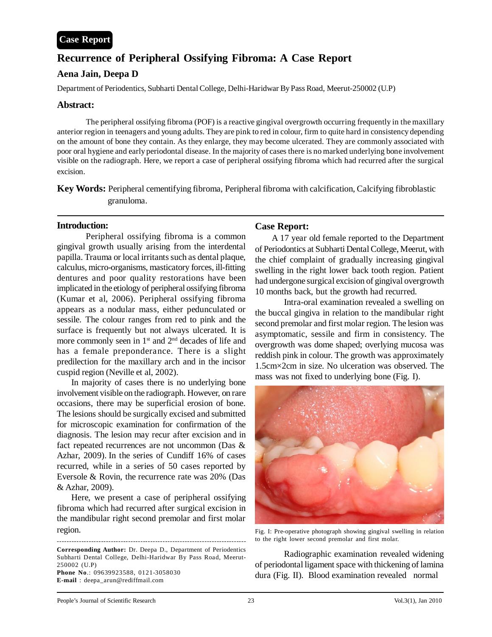# **Recurrence of Peripheral Ossifying Fibroma: A Case Report**

# **Aena Jain, Deepa D**

Department of Periodentics, Subharti Dental College, Delhi-Haridwar By Pass Road, Meerut-250002 (U.P)

#### **Abstract:**

The peripheral ossifying fibroma (POF) is a reactive gingival overgrowth occurring frequently in the maxillary anterior region in teenagers and young adults. They are pink to red in colour, firm to quite hard in consistency depending on the amount of bone they contain. As they enlarge, they may become ulcerated. They are commonly associated with poor oral hygiene and early periodontal disease. In the majority of cases there is no marked underlying bone involvement visible on the radiograph. Here, we report a case of peripheral ossifying fibroma which had recurred after the surgical excision.

**Key Words:** Peripheral cementifying fibroma, Peripheral fibroma with calcification, Calcifying fibroblastic granuloma.

## **Introduction:**

Peripheral ossifying fibroma is a common gingival growth usually arising from the interdental papilla. Trauma or local irritants such as dental plaque, calculus, micro-organisms, masticatory forces, ill-fitting dentures and poor quality restorations have been implicated in the etiology of peripheral ossifying fibroma (Kumar et al, 2006). Peripheral ossifying fibroma appears as a nodular mass, either pedunculated or sessile. The colour ranges from red to pink and the surface is frequently but not always ulcerated. It is more commonly seen in 1<sup>st</sup> and 2<sup>nd</sup> decades of life and has a female preponderance. There is a slight predilection for the maxillary arch and in the incisor cuspid region (Neville et al, 2002).

In majority of cases there is no underlying bone involvement visible on the radiograph. However, on rare occasions, there may be superficial erosion of bone. The lesions should be surgically excised and submitted for microscopic examination for confirmation of the diagnosis. The lesion may recur after excision and in fact repeated recurrences are not uncommon (Das & Azhar, 2009). In the series of Cundiff 16% of cases recurred, while in a series of 50 cases reported by Eversole & Rovin, the recurrence rate was 20% (Das & Azhar, 2009).

Here, we present a case of peripheral ossifying fibroma which had recurred after surgical excision in the mandibular right second premolar and first molar region.

**Corresponding Author:** Dr. Deepa D., Department of Periodentics Subharti Dental College, Delhi-Haridwar By Pass Road, Meerut-250002 (U.P) **Phone No**.: 09639923588, 0121-3058030 **E-mail** : deepa\_arun@rediffmail.com

-----------------------------------------------------------------------------

## **Case Report:**

 A 17 year old female reported to the Department of Periodontics at Subharti Dental College, Meerut, with the chief complaint of gradually increasing gingival swelling in the right lower back tooth region. Patient had undergone surgical excision of gingival overgrowth 10 months back, but the growth had recurred.

Intra-oral examination revealed a swelling on the buccal gingiva in relation to the mandibular right second premolar and first molar region. The lesion was asymptomatic, sessile and firm in consistency. The overgrowth was dome shaped; overlying mucosa was reddish pink in colour. The growth was approximately 1.5cm×2cm in size. No ulceration was observed. The mass was not fixed to underlying bone (Fig. I).



Fig. I: Pre-operative photograph showing gingival swelling in relation to the right lower second premolar and first molar.

Radiographic examination revealed widening of periodontal ligament space with thickening of lamina dura (Fig. II). Blood examination revealed normal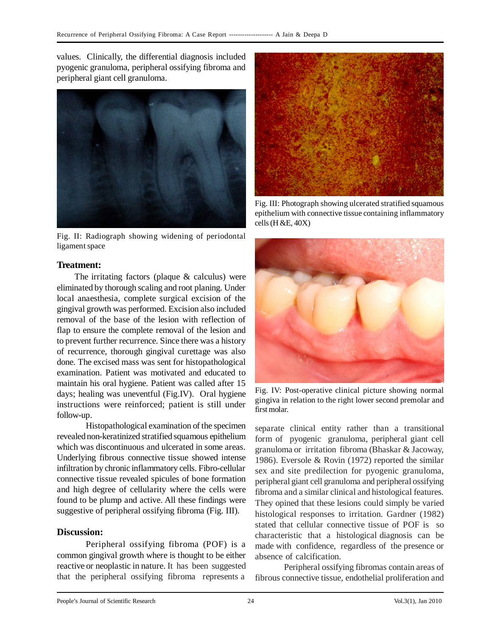values. Clinically, the differential diagnosis included pyogenic granuloma, peripheral ossifying fibroma and peripheral giant cell granuloma.



Fig. II: Radiograph showing widening of periodontal ligament space

## **Treatment:**

 The irritating factors (plaque & calculus) were eliminated by thorough scaling and root planing. Under local anaesthesia, complete surgical excision of the gingival growth was performed. Excision also included removal of the base of the lesion with reflection of flap to ensure the complete removal of the lesion and to prevent further recurrence. Since there was a history of recurrence, thorough gingival curettage was also done. The excised mass was sent for histopathological examination. Patient was motivated and educated to maintain his oral hygiene. Patient was called after 15 days; healing was uneventful (Fig.IV). Oral hygiene instructions were reinforced; patient is still under follow-up.

Histopathological examination of the specimen revealed non-keratinized stratified squamous epithelium which was discontinuous and ulcerated in some areas. Underlying fibrous connective tissue showed intense infiltration by chronic inflammatory cells. Fibro-cellular connective tissue revealed spicules of bone formation and high degree of cellularity where the cells were found to be plump and active. All these findings were suggestive of peripheral ossifying fibroma (Fig. III).

## **Discussion:**

Peripheral ossifying fibroma (POF) is a common gingival growth where is thought to be either reactive or neoplastic in nature. It has been suggested that the peripheral ossifying fibroma represents a



Fig. III: Photograph showing ulcerated stratified squamous epithelium with connective tissue containing inflammatory cells  $(H & E, 40X)$ 



Fig. IV: Post-operative clinical picture showing normal gingiva in relation to the right lower second premolar and first molar.

separate clinical entity rather than a transitional form of pyogenic granuloma, peripheral giant cell granuloma or irritation fibroma (Bhaskar & Jacoway, 1986). Eversole & Rovin (1972) reported the similar sex and site predilection for pyogenic granuloma, peripheral giant cell granuloma and peripheral ossifying fibroma and a similar clinical and histological features. They opined that these lesions could simply be varied histological responses to irritation. Gardner (1982) stated that cellular connective tissue of POF is so characteristic that a histological diagnosis can be made with confidence, regardless of the presence or absence of calcification.

Peripheral ossifying fibromas contain areas of fibrous connective tissue, endothelial proliferation and